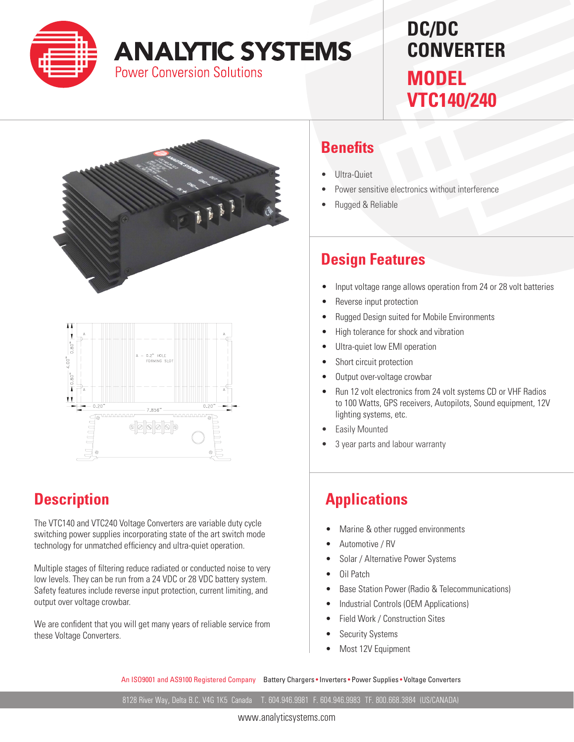

# **ANALYTIC SYSTEMS**

**Power Conversion Solutions** 

## **DC/DC CONVERTER MODEL VTC140/240**





### **Description**

The VTC140 and VTC240 Voltage Converters are variable duty cycle switching power supplies incorporating state of the art switch mode technology for unmatched efficiency and ultra-quiet operation.

Multiple stages of filtering reduce radiated or conducted noise to very low levels. They can be run from a 24 VDC or 28 VDC battery system. Safety features include reverse input protection, current limiting, and output over voltage crowbar.

We are confident that you will get many years of reliable service from these Voltage Converters.

#### **Benefits**

- Ultra-Quiet
- Power sensitive electronics without interference
- Rugged & Reliable

#### **Design Features**

- Input voltage range allows operation from 24 or 28 volt batteries
- Reverse input protection
- Rugged Design suited for Mobile Environments
- High tolerance for shock and vibration
- Ultra-quiet low EMI operation
- Short circuit protection
- Output over-voltage crowbar
- • Run 12 volt electronics from 24 volt systems CD or VHF Radios to 100 Watts, GPS receivers, Autopilots, Sound equipment, 12V lighting systems, etc.
- **Easily Mounted**
- 3 year parts and labour warranty

### **Applications**

- Marine & other rugged environments
- Automotive / RV
- Solar / Alternative Power Systems
- Oil Patch
- **Base Station Power (Radio & Telecommunications)**
- Industrial Controls (OEM Applications)
- Field Work / Construction Sites
- **Security Systems**
- Most 12V Equipment

An ISO9001 and AS9100 Registered Company Battery Chargers • Inverters • Power Supplies • Voltage Converters